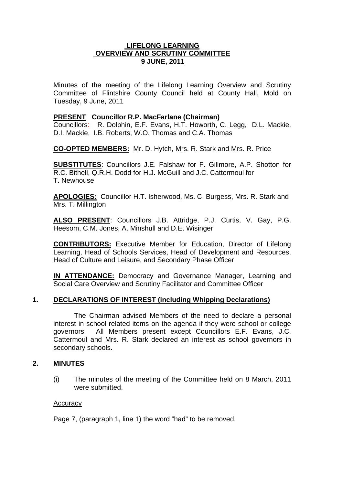### **LIFELONG LEARNING OVERVIEW AND SCRUTINY COMMITTEE 9 JUNE, 2011**

Minutes of the meeting of the Lifelong Learning Overview and Scrutiny Committee of Flintshire County Council held at County Hall, Mold on Tuesday, 9 June, 2011

### **PRESENT**: **Councillor R.P. MacFarlane (Chairman)**

Councillors: R. Dolphin, E.F. Evans, H.T. Howorth, C. Legg, D.L. Mackie, D.I. Mackie, I.B. Roberts, W.O. Thomas and C.A. Thomas

**CO-OPTED MEMBERS:** Mr. D. Hytch, Mrs. R. Stark and Mrs. R. Price

**SUBSTITUTES**: Councillors J.E. Falshaw for F. Gillmore, A.P. Shotton for R.C. Bithell, Q.R.H. Dodd for H.J. McGuill and J.C. Cattermoul for T. Newhouse

**APOLOGIES:** Councillor H.T. Isherwood, Ms. C. Burgess, Mrs. R. Stark and Mrs. T. Millington

**ALSO PRESENT**: Councillors J.B. Attridge, P.J. Curtis, V. Gay, P.G. Heesom, C.M. Jones, A. Minshull and D.E. Wisinger

**CONTRIBUTORS:** Executive Member for Education, Director of Lifelong Learning, Head of Schools Services, Head of Development and Resources, Head of Culture and Leisure, and Secondary Phase Officer

**IN ATTENDANCE:** Democracy and Governance Manager, Learning and Social Care Overview and Scrutiny Facilitator and Committee Officer

## **1. DECLARATIONS OF INTEREST (including Whipping Declarations)**

The Chairman advised Members of the need to declare a personal interest in school related items on the agenda if they were school or college governors. All Members present except Councillors E.F. Evans, J.C. Cattermoul and Mrs. R. Stark declared an interest as school governors in secondary schools.

#### **2. MINUTES**

(i) The minutes of the meeting of the Committee held on 8 March, 2011 were submitted.

#### **Accuracy**

Page 7, (paragraph 1, line 1) the word "had" to be removed.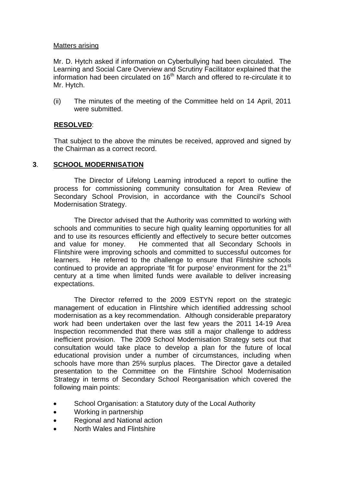### Matters arising

Mr. D. Hytch asked if information on Cyberbullying had been circulated. The Learning and Social Care Overview and Scrutiny Facilitator explained that the information had been circulated on  $16<sup>th</sup>$  March and offered to re-circulate it to Mr. Hytch.

(ii) The minutes of the meeting of the Committee held on 14 April, 2011 were submitted.

## **RESOLVED**:

That subject to the above the minutes be received, approved and signed by the Chairman as a correct record.

## **3**. **SCHOOL MODERNISATION**

The Director of Lifelong Learning introduced a report to outline the process for commissioning community consultation for Area Review of Secondary School Provision, in accordance with the Council's School Modernisation Strategy.

The Director advised that the Authority was committed to working with schools and communities to secure high quality learning opportunities for all and to use its resources efficiently and effectively to secure better outcomes and value for money. He commented that all Secondary Schools in Flintshire were improving schools and committed to successful outcomes for learners. He referred to the challenge to ensure that Flintshire schools continued to provide an appropriate 'fit for purpose' environment for the 21<sup>st</sup> century at a time when limited funds were available to deliver increasing expectations.

The Director referred to the 2009 ESTYN report on the strategic management of education in Flintshire which identified addressing school modernisation as a key recommendation. Although considerable preparatory work had been undertaken over the last few years the 2011 14-19 Area Inspection recommended that there was still a major challenge to address inefficient provision. The 2009 School Modernisation Strategy sets out that consultation would take place to develop a plan for the future of local educational provision under a number of circumstances, including when schools have more than 25% surplus places. The Director gave a detailed presentation to the Committee on the Flintshire School Modernisation Strategy in terms of Secondary School Reorganisation which covered the following main points:

- School Organisation: a Statutory duty of the Local Authority
- Working in partnership
- Regional and National action
- North Wales and Flintshire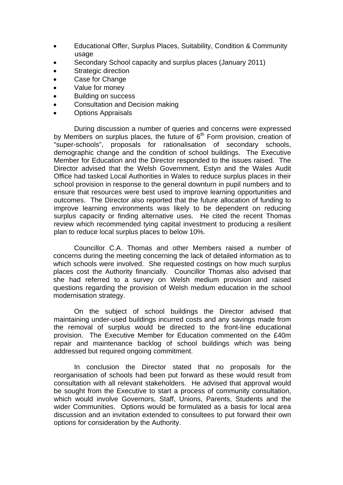- Educational Offer, Surplus Places, Suitability, Condition & Community usage
- Secondary School capacity and surplus places (January 2011)
- Strategic direction
- Case for Change
- Value for money
- Building on success
- Consultation and Decision making
- Options Appraisals

During discussion a number of queries and concerns were expressed by Members on surplus places, the future of  $6<sup>th</sup>$  Form provision, creation of "super-schools", proposals for rationalisation of secondary schools, demographic change and the condition of school buildings. The Executive Member for Education and the Director responded to the issues raised. The Director advised that the Welsh Government, Estyn and the Wales Audit Office had tasked Local Authorities in Wales to reduce surplus places in their school provision in response to the general downturn in pupil numbers and to ensure that resources were best used to improve learning opportunities and outcomes. The Director also reported that the future allocation of funding to improve learning environments was likely to be dependent on reducing surplus capacity or finding alternative uses. He cited the recent Thomas review which recommended tying capital investment to producing a resilient plan to reduce local surplus places to below 10%.

Councillor C.A. Thomas and other Members raised a number of concerns during the meeting concerning the lack of detailed information as to which schools were involved. She requested costings on how much surplus places cost the Authority financially. Councillor Thomas also advised that she had referred to a survey on Welsh medium provision and raised questions regarding the provision of Welsh medium education in the school modernisation strategy.

On the subject of school buildings the Director advised that maintaining under-used buildings incurred costs and any savings made from the removal of surplus would be directed to the front-line educational provision. The Executive Member for Education commented on the £40m repair and maintenance backlog of school buildings which was being addressed but required ongoing commitment.

In conclusion the Director stated that no proposals for the reorganisation of schools had been put forward as these would result from consultation with all relevant stakeholders. He advised that approval would be sought from the Executive to start a process of community consultation, which would involve Governors, Staff, Unions, Parents, Students and the wider Communities. Options would be formulated as a basis for local area discussion and an invitation extended to consultees to put forward their own options for consideration by the Authority.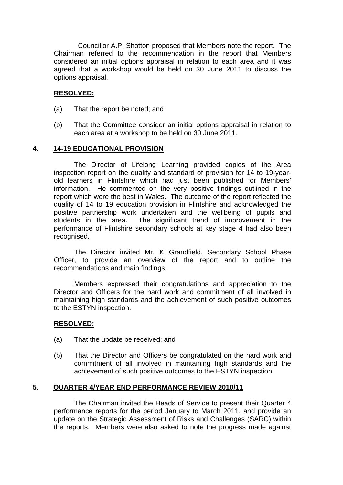Councillor A.P. Shotton proposed that Members note the report. The Chairman referred to the recommendation in the report that Members considered an initial options appraisal in relation to each area and it was agreed that a workshop would be held on 30 June 2011 to discuss the options appraisal.

## **RESOLVED:**

- (a) That the report be noted; and
- (b) That the Committee consider an initial options appraisal in relation to each area at a workshop to be held on 30 June 2011.

### **4**. **14-19 EDUCATIONAL PROVISION**

The Director of Lifelong Learning provided copies of the Area inspection report on the quality and standard of provision for 14 to 19-yearold learners in Flintshire which had just been published for Members' information. He commented on the very positive findings outlined in the report which were the best in Wales. The outcome of the report reflected the quality of 14 to 19 education provision in Flintshire and acknowledged the positive partnership work undertaken and the wellbeing of pupils and students in the area. The significant trend of improvement in the performance of Flintshire secondary schools at key stage 4 had also been recognised.

The Director invited Mr. K Grandfield, Secondary School Phase Officer, to provide an overview of the report and to outline the recommendations and main findings.

Members expressed their congratulations and appreciation to the Director and Officers for the hard work and commitment of all involved in maintaining high standards and the achievement of such positive outcomes to the ESTYN inspection.

#### **RESOLVED:**

- (a) That the update be received; and
- (b) That the Director and Officers be congratulated on the hard work and commitment of all involved in maintaining high standards and the achievement of such positive outcomes to the ESTYN inspection.

## **5**. **QUARTER 4/YEAR END PERFORMANCE REVIEW 2010/11**

The Chairman invited the Heads of Service to present their Quarter 4 performance reports for the period January to March 2011, and provide an update on the Strategic Assessment of Risks and Challenges (SARC) within the reports. Members were also asked to note the progress made against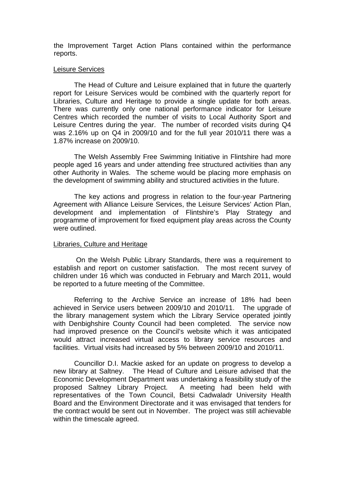the Improvement Target Action Plans contained within the performance reports.

#### Leisure Services

The Head of Culture and Leisure explained that in future the quarterly report for Leisure Services would be combined with the quarterly report for Libraries, Culture and Heritage to provide a single update for both areas. There was currently only one national performance indicator for Leisure Centres which recorded the number of visits to Local Authority Sport and Leisure Centres during the year. The number of recorded visits during Q4 was 2.16% up on Q4 in 2009/10 and for the full year 2010/11 there was a 1.87% increase on 2009/10.

The Welsh Assembly Free Swimming Initiative in Flintshire had more people aged 16 years and under attending free structured activities than any other Authority in Wales. The scheme would be placing more emphasis on the development of swimming ability and structured activities in the future.

The key actions and progress in relation to the four-year Partnering Agreement with Alliance Leisure Services, the Leisure Services' Action Plan, development and implementation of Flintshire's Play Strategy and programme of improvement for fixed equipment play areas across the County were outlined.

#### Libraries, Culture and Heritage

On the Welsh Public Library Standards, there was a requirement to establish and report on customer satisfaction. The most recent survey of children under 16 which was conducted in February and March 2011, would be reported to a future meeting of the Committee.

Referring to the Archive Service an increase of 18% had been achieved in Service users between 2009/10 and 2010/11.The upgrade of the library management system which the Library Service operated jointly with Denbighshire County Council had been completed. The service now had improved presence on the Council's website which it was anticipated would attract increased virtual access to library service resources and facilities. Virtual visits had increased by 5% between 2009/10 and 2010/11.

Councillor D.I. Mackie asked for an update on progress to develop a new library at Saltney. The Head of Culture and Leisure advised that the Economic Development Department was undertaking a feasibility study of the proposed Saltney Library Project. A meeting had been held with representatives of the Town Council, Betsi Cadwaladr University Health Board and the Environment Directorate and it was envisaged that tenders for the contract would be sent out in November. The project was still achievable within the timescale agreed.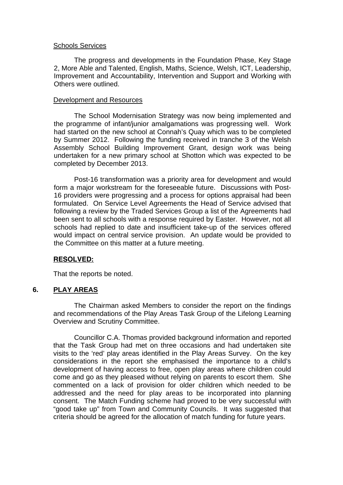#### Schools Services

The progress and developments in the Foundation Phase, Key Stage 2, More Able and Talented, English, Maths, Science, Welsh, ICT, Leadership, Improvement and Accountability, Intervention and Support and Working with Others were outlined.

#### Development and Resources

The School Modernisation Strategy was now being implemented and the programme of infant/junior amalgamations was progressing well. Work had started on the new school at Connah's Quay which was to be completed by Summer 2012. Following the funding received in tranche 3 of the Welsh Assembly School Building Improvement Grant, design work was being undertaken for a new primary school at Shotton which was expected to be completed by December 2013.

Post-16 transformation was a priority area for development and would form a major workstream for the foreseeable future. Discussions with Post-16 providers were progressing and a process for options appraisal had been formulated.On Service Level Agreements the Head of Service advised that following a review by the Traded Services Group a list of the Agreements had been sent to all schools with a response required by Easter. However, not all schools had replied to date and insufficient take-up of the services offered would impact on central service provision. An update would be provided to the Committee on this matter at a future meeting.

#### **RESOLVED:**

That the reports be noted.

#### **6. PLAY AREAS**

The Chairman asked Members to consider the report on the findings and recommendations of the Play Areas Task Group of the Lifelong Learning Overview and Scrutiny Committee.

Councillor C.A. Thomas provided background information and reported that the Task Group had met on three occasions and had undertaken site visits to the 'red' play areas identified in the Play Areas Survey. On the key considerations in the report she emphasised the importance to a child's development of having access to free, open play areas where children could come and go as they pleased without relying on parents to escort them. She commented on a lack of provision for older children which needed to be addressed and the need for play areas to be incorporated into planning consent. The Match Funding scheme had proved to be very successful with "good take up" from Town and Community Councils. It was suggested that criteria should be agreed for the allocation of match funding for future years.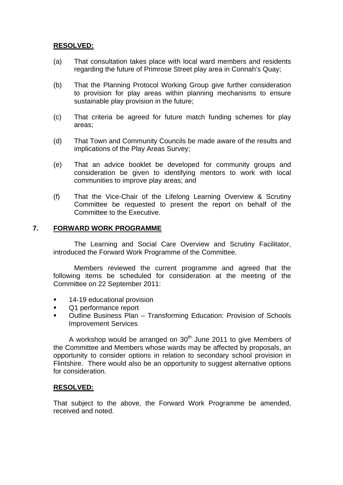## **RESOLVED:**

- (a) That consultation takes place with local ward members and residents regarding the future of Primrose Street play area in Connah's Quay;
- (b) That the Planning Protocol Working Group give further consideration to provision for play areas within planning mechanisms to ensure sustainable play provision in the future;
- (c) That criteria be agreed for future match funding schemes for play areas;
- (d) That Town and Community Councils be made aware of the results and implications of the Play Areas Survey;
- (e) That an advice booklet be developed for community groups and consideration be given to identifying mentors to work with local communities to improve play areas; and
- (f) That the Vice-Chair of the Lifelong Learning Overview & Scrutiny Committee be requested to present the report on behalf of the Committee to the Executive.

### **7. FORWARD WORK PROGRAMME**

The Learning and Social Care Overview and Scrutiny Facilitator, introduced the Forward Work Programme of the Committee.

Members reviewed the current programme and agreed that the following items be scheduled for consideration at the meeting of the Committee on 22 September 2011:

- **14-19 educational provision**
- Q1 performance report
- **Outline Business Plan Transforming Education: Provision of Schools** Improvement Services

A workshop would be arranged on  $30<sup>th</sup>$  June 2011 to give Members of the Committee and Members whose wards may be affected by proposals, an opportunity to consider options in relation to secondary school provision in Flintshire. There would also be an opportunity to suggest alternative options for consideration.

## **RESOLVED:**

That subject to the above, the Forward Work Programme be amended, received and noted.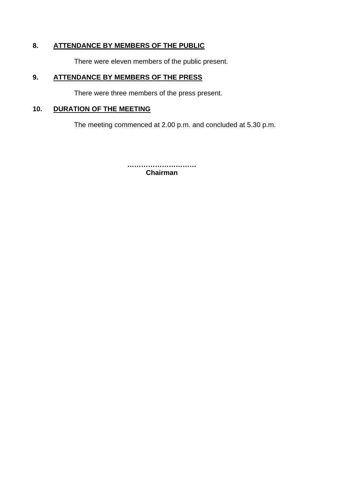# **8. ATTENDANCE BY MEMBERS OF THE PUBLIC**

There were eleven members of the public present.

## **9. ATTENDANCE BY MEMBERS OF THE PRESS**

There were three members of the press present.

## **10. DURATION OF THE MEETING**

The meeting commenced at 2.00 p.m. and concluded at 5.30 p.m.

**………………………… Chairman**